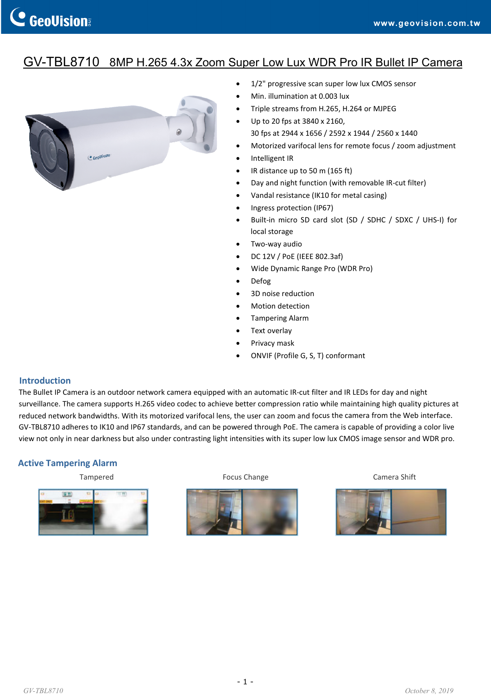# GV-TBL8710 8MP H.265 4.3x Zoom Super Low Lux WDR Pro IR Bullet IP Camera



- 1/2" progressive scan super low lux CMOS sensor
- Min. illumination at 0.003 lux
- Triple streams from H.265, H.264 or MJPEG
- Up to 20 fps at 3840 x 2160, 30 fps at 2944 x 1656 / 2592 x 1944 / 2560 x 1440
- Motorized varifocal lens for remote focus / zoom adjustment
- Intelligent IR
- IR distance up to 50 m (165 ft)
- Day and night function (with removable IR‐cut filter)
- Vandal resistance (IK10 for metal casing)
- Ingress protection (IP67)
- Built-in micro SD card slot (SD / SDHC / SDXC / UHS-I) for local storage
- Two‐way audio
- DC 12V / PoE (IEEE 802.3af)
- Wide Dynamic Range Pro (WDR Pro)
- Defog
- 3D noise reduction
- Motion detection
- Tampering Alarm
- Text overlay
- Privacy mask
- ONVIF (Profile G, S, T) conformant

#### **Introduction**

The Bullet IP Camera is an outdoor network camera equipped with an automatic IR‐cut filter and IR LEDs for day and night surveillance. The camera supports H.265 video codec to achieve better compression ratio while maintaining high quality pictures at reduced network bandwidths. With its motorized varifocal lens, the user can zoom and focus the camera from the Web interface. GV‐TBL8710 adheres to IK10 and IP67 standards, and can be powered through PoE. The camera is capable of providing a color live view not only in near darkness but also under contrasting light intensities with its super low lux CMOS image sensor and WDR pro.

#### **Active Tampering Alarm**



Tampered The Tampered Camera Shift Courses Change Camera Shift Camera Shift Camera Shift Camera Shift Camera Shift Camera Shift Camera Shift Camera Shift Camera Shift Camera Shift Camera Shift Camera Shift Camera Shift Cam



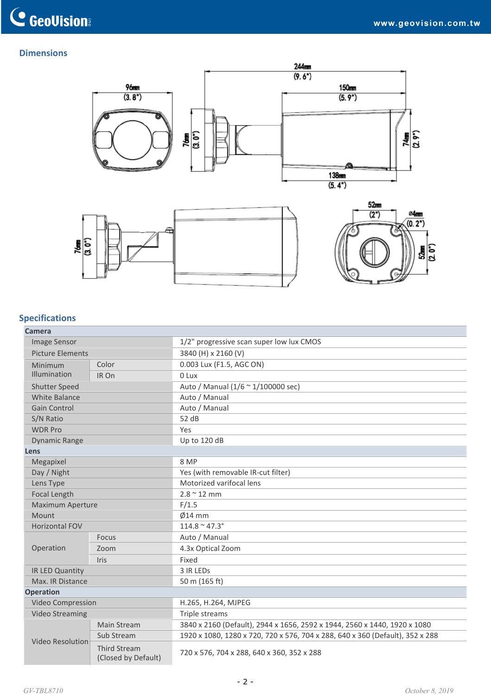### **Dimensions**



## **Specifications**

| Camera                  |                                            |                                                                               |  |
|-------------------------|--------------------------------------------|-------------------------------------------------------------------------------|--|
| <b>Image Sensor</b>     |                                            | 1/2" progressive scan super low lux CMOS                                      |  |
| <b>Picture Elements</b> |                                            | 3840 (H) x 2160 (V)                                                           |  |
| Minimum<br>Illumination | Color                                      | 0.003 Lux (F1.5, AGC ON)                                                      |  |
|                         | IR On                                      | 0 Lux                                                                         |  |
| <b>Shutter Speed</b>    |                                            | Auto / Manual (1/6 ~ 1/100000 sec)                                            |  |
| White Balance           |                                            | Auto / Manual                                                                 |  |
| <b>Gain Control</b>     |                                            | Auto / Manual                                                                 |  |
| S/N Ratio               |                                            | 52 dB                                                                         |  |
| <b>WDR Pro</b>          |                                            | Yes                                                                           |  |
| <b>Dynamic Range</b>    |                                            | Up to 120 dB                                                                  |  |
| Lens                    |                                            |                                                                               |  |
| Megapixel               |                                            | 8 MP                                                                          |  |
| Day / Night             |                                            | Yes (with removable IR-cut filter)                                            |  |
| Lens Type               |                                            | Motorized varifocal lens                                                      |  |
| Focal Length            |                                            | $2.8 \sim 12$ mm                                                              |  |
| Maximum Aperture        |                                            | F/1.5                                                                         |  |
| Mount                   |                                            | $Ø14$ mm                                                                      |  |
| <b>Horizontal FOV</b>   |                                            | $114.8 \text{ ~ } 47.3$ °                                                     |  |
|                         | <b>Focus</b>                               | Auto / Manual                                                                 |  |
| Operation               | Zoom                                       | 4.3x Optical Zoom                                                             |  |
|                         | Iris                                       | Fixed                                                                         |  |
| IR LED Quantity         |                                            | 3 IR LEDS                                                                     |  |
| Max. IR Distance        |                                            | 50 m (165 ft)                                                                 |  |
| <b>Operation</b>        |                                            |                                                                               |  |
| Video Compression       |                                            | H.265, H.264, MJPEG                                                           |  |
| <b>Video Streaming</b>  |                                            | Triple streams                                                                |  |
| <b>Video Resolution</b> | Main Stream                                | 3840 x 2160 (Default), 2944 x 1656, 2592 x 1944, 2560 x 1440, 1920 x 1080     |  |
|                         | Sub Stream                                 | 1920 x 1080, 1280 x 720, 720 x 576, 704 x 288, 640 x 360 (Default), 352 x 288 |  |
|                         | <b>Third Stream</b><br>(Closed by Default) | 720 x 576, 704 x 288, 640 x 360, 352 x 288                                    |  |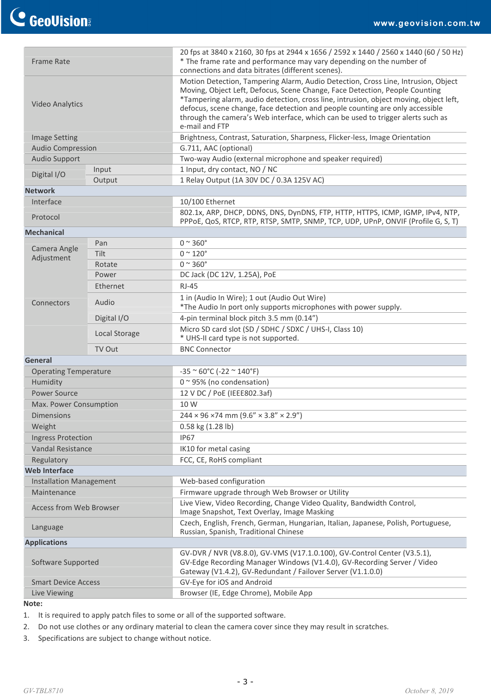|                                |               | 20 fps at 3840 x 2160, 30 fps at 2944 x 1656 / 2592 x 1440 / 2560 x 1440 (60 / 50 Hz)                                                                                                                                                                                                                                                                                                                                                           |  |
|--------------------------------|---------------|-------------------------------------------------------------------------------------------------------------------------------------------------------------------------------------------------------------------------------------------------------------------------------------------------------------------------------------------------------------------------------------------------------------------------------------------------|--|
| <b>Frame Rate</b>              |               | * The frame rate and performance may vary depending on the number of<br>connections and data bitrates (different scenes).                                                                                                                                                                                                                                                                                                                       |  |
| <b>Video Analytics</b>         |               | Motion Detection, Tampering Alarm, Audio Detection, Cross Line, Intrusion, Object<br>Moving, Object Left, Defocus, Scene Change, Face Detection, People Counting<br>*Tampering alarm, audio detection, cross line, intrusion, object moving, object left,<br>defocus, scene change, face detection and people counting are only accessible<br>through the camera's Web interface, which can be used to trigger alerts such as<br>e-mail and FTP |  |
| <b>Image Setting</b>           |               | Brightness, Contrast, Saturation, Sharpness, Flicker-less, Image Orientation                                                                                                                                                                                                                                                                                                                                                                    |  |
| <b>Audio Compression</b>       |               | G.711, AAC (optional)                                                                                                                                                                                                                                                                                                                                                                                                                           |  |
| <b>Audio Support</b>           |               | Two-way Audio (external microphone and speaker required)                                                                                                                                                                                                                                                                                                                                                                                        |  |
| Digital I/O                    | Input         | 1 Input, dry contact, NO / NC                                                                                                                                                                                                                                                                                                                                                                                                                   |  |
|                                | Output        | 1 Relay Output (1A 30V DC / 0.3A 125V AC)                                                                                                                                                                                                                                                                                                                                                                                                       |  |
| <b>Network</b>                 |               |                                                                                                                                                                                                                                                                                                                                                                                                                                                 |  |
| Interface                      |               | 10/100 Ethernet                                                                                                                                                                                                                                                                                                                                                                                                                                 |  |
| Protocol                       |               | 802.1x, ARP, DHCP, DDNS, DNS, DynDNS, FTP, HTTP, HTTPS, ICMP, IGMP, IPv4, NTP,<br>PPPoE, QoS, RTCP, RTP, RTSP, SMTP, SNMP, TCP, UDP, UPnP, ONVIF (Profile G, S, T)                                                                                                                                                                                                                                                                              |  |
| <b>Mechanical</b>              |               |                                                                                                                                                                                                                                                                                                                                                                                                                                                 |  |
| Camera Angle                   | Pan           | $0 \sim 360^\circ$                                                                                                                                                                                                                                                                                                                                                                                                                              |  |
| Adjustment                     | Tilt          | $0 \sim 120^\circ$                                                                                                                                                                                                                                                                                                                                                                                                                              |  |
|                                | Rotate        | $0 \sim 360^\circ$                                                                                                                                                                                                                                                                                                                                                                                                                              |  |
|                                | Power         | DC Jack (DC 12V, 1.25A), PoE                                                                                                                                                                                                                                                                                                                                                                                                                    |  |
|                                | Ethernet      | <b>RJ-45</b>                                                                                                                                                                                                                                                                                                                                                                                                                                    |  |
| Connectors                     | Audio         | 1 in (Audio In Wire); 1 out (Audio Out Wire)<br>*The Audio In port only supports microphones with power supply.                                                                                                                                                                                                                                                                                                                                 |  |
|                                | Digital I/O   | 4-pin terminal block pitch 3.5 mm (0.14")                                                                                                                                                                                                                                                                                                                                                                                                       |  |
|                                | Local Storage | Micro SD card slot (SD / SDHC / SDXC / UHS-I, Class 10)<br>* UHS-II card type is not supported.                                                                                                                                                                                                                                                                                                                                                 |  |
|                                | TV Out        | <b>BNC Connector</b>                                                                                                                                                                                                                                                                                                                                                                                                                            |  |
| <b>General</b>                 |               |                                                                                                                                                                                                                                                                                                                                                                                                                                                 |  |
| <b>Operating Temperature</b>   |               | $-35$ ~ 60°C (-22 ~ 140°F)                                                                                                                                                                                                                                                                                                                                                                                                                      |  |
| Humidity                       |               | $0$ ~ 95% (no condensation)                                                                                                                                                                                                                                                                                                                                                                                                                     |  |
| <b>Power Source</b>            |               | 12 V DC / PoE (IEEE802.3af)                                                                                                                                                                                                                                                                                                                                                                                                                     |  |
| Max. Power Consumption         |               | 10 W                                                                                                                                                                                                                                                                                                                                                                                                                                            |  |
| <b>Dimensions</b>              |               | $244 \times 96 \times 74$ mm $(9.6'' \times 3.8'' \times 2.9'')$                                                                                                                                                                                                                                                                                                                                                                                |  |
| Weight                         |               | 0.58 kg (1.28 lb)                                                                                                                                                                                                                                                                                                                                                                                                                               |  |
| <b>Ingress Protection</b>      |               | <b>IP67</b>                                                                                                                                                                                                                                                                                                                                                                                                                                     |  |
| Vandal Resistance              |               | IK10 for metal casing                                                                                                                                                                                                                                                                                                                                                                                                                           |  |
| Regulatory                     |               | FCC, CE, RoHS compliant                                                                                                                                                                                                                                                                                                                                                                                                                         |  |
| <b>Web Interface</b>           |               |                                                                                                                                                                                                                                                                                                                                                                                                                                                 |  |
| <b>Installation Management</b> |               | Web-based configuration                                                                                                                                                                                                                                                                                                                                                                                                                         |  |
| Maintenance                    |               | Firmware upgrade through Web Browser or Utility                                                                                                                                                                                                                                                                                                                                                                                                 |  |
| <b>Access from Web Browser</b> |               | Live View, Video Recording, Change Video Quality, Bandwidth Control,<br>Image Snapshot, Text Overlay, Image Masking                                                                                                                                                                                                                                                                                                                             |  |
| Language                       |               | Czech, English, French, German, Hungarian, Italian, Japanese, Polish, Portuguese,<br>Russian, Spanish, Traditional Chinese                                                                                                                                                                                                                                                                                                                      |  |
| <b>Applications</b>            |               |                                                                                                                                                                                                                                                                                                                                                                                                                                                 |  |
| Software Supported             |               | GV-DVR / NVR (V8.8.0), GV-VMS (V17.1.0.100), GV-Control Center (V3.5.1),<br>GV-Edge Recording Manager Windows (V1.4.0), GV-Recording Server / Video<br>Gateway (V1.4.2), GV-Redundant / Failover Server (V1.1.0.0)                                                                                                                                                                                                                              |  |
| <b>Smart Device Access</b>     |               | GV-Eye for iOS and Android                                                                                                                                                                                                                                                                                                                                                                                                                      |  |
| Live Viewing                   |               | Browser (IE, Edge Chrome), Mobile App                                                                                                                                                                                                                                                                                                                                                                                                           |  |

**Note:**

1. It is required to apply patch files to some or all of the supported software.

2. Do not use clothes or any ordinary material to clean the camera cover since they may result in scratches.

3. Specifications are subject to change without notice.